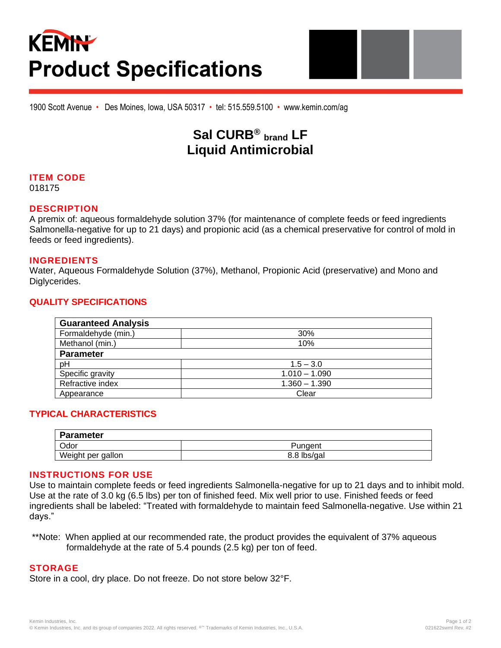# **KEMIN Product Specifications**



## **Sal CURB® brand LF Liquid Antimicrobial**

### **ITEM CODE**

018175

#### **DESCRIPTION**

A premix of: aqueous formaldehyde solution 37% (for maintenance of complete feeds or feed ingredients Salmonella-negative for up to 21 days) and propionic acid (as a chemical preservative for control of mold in feeds or feed ingredients).

#### **INGREDIENTS**

Water, Aqueous Formaldehyde Solution (37%), Methanol, Propionic Acid (preservative) and Mono and Diglycerides.

#### **QUALITY SPECIFICATIONS**

| <b>Guaranteed Analysis</b> |                 |
|----------------------------|-----------------|
| Formaldehyde (min.)        | 30%             |
| Methanol (min.)            | 10%             |
| <b>Parameter</b>           |                 |
| pH                         | $1.5 - 3.0$     |
| Specific gravity           | $1.010 - 1.090$ |
| Refractive index           | $1.360 - 1.390$ |
| Appearance                 | Clear           |

#### **TYPICAL CHARACTERISTICS**

| <b>Parameter</b>  |             |
|-------------------|-------------|
| Odor              | Pungent     |
| Weight per gallon | 8.8 lbs/gal |

#### **INSTRUCTIONS FOR USE**

Use to maintain complete feeds or feed ingredients Salmonella-negative for up to 21 days and to inhibit mold. Use at the rate of 3.0 kg (6.5 lbs) per ton of finished feed. Mix well prior to use. Finished feeds or feed ingredients shall be labeled: "Treated with formaldehyde to maintain feed Salmonella-negative. Use within 21 days."

\*\*Note: When applied at our recommended rate, the product provides the equivalent of 37% aqueous formaldehyde at the rate of 5.4 pounds (2.5 kg) per ton of feed.

#### **STORAGE**

Store in a cool, dry place. Do not freeze. Do not store below 32°F.